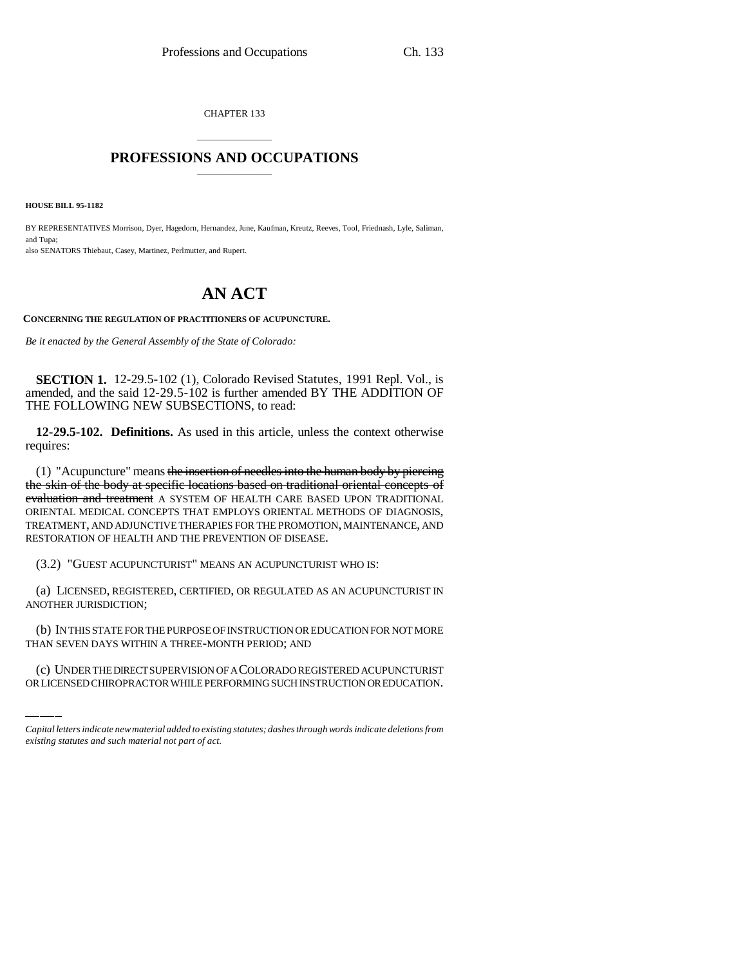CHAPTER 133

## \_\_\_\_\_\_\_\_\_\_\_\_\_\_\_ **PROFESSIONS AND OCCUPATIONS** \_\_\_\_\_\_\_\_\_\_\_\_\_\_\_

**HOUSE BILL 95-1182**

BY REPRESENTATIVES Morrison, Dyer, Hagedorn, Hernandez, June, Kaufman, Kreutz, Reeves, Tool, Friednash, Lyle, Saliman, and Tupa; also SENATORS Thiebaut, Casey, Martinez, Perlmutter, and Rupert.

## **AN ACT**

**CONCERNING THE REGULATION OF PRACTITIONERS OF ACUPUNCTURE.**

*Be it enacted by the General Assembly of the State of Colorado:*

**SECTION 1.** 12-29.5-102 (1), Colorado Revised Statutes, 1991 Repl. Vol., is amended, and the said 12-29.5-102 is further amended BY THE ADDITION OF THE FOLLOWING NEW SUBSECTIONS, to read:

**12-29.5-102. Definitions.** As used in this article, unless the context otherwise requires:

(1) "Acupuncture" means the insertion of needles into the human body by piercing the skin of the body at specific locations based on traditional oriental concepts of evaluation and treatment A SYSTEM OF HEALTH CARE BASED UPON TRADITIONAL ORIENTAL MEDICAL CONCEPTS THAT EMPLOYS ORIENTAL METHODS OF DIAGNOSIS, TREATMENT, AND ADJUNCTIVE THERAPIES FOR THE PROMOTION, MAINTENANCE, AND RESTORATION OF HEALTH AND THE PREVENTION OF DISEASE.

(3.2) "GUEST ACUPUNCTURIST" MEANS AN ACUPUNCTURIST WHO IS:

(a) LICENSED, REGISTERED, CERTIFIED, OR REGULATED AS AN ACUPUNCTURIST IN ANOTHER JURISDICTION;

(b) IN THIS STATE FOR THE PURPOSE OF INSTRUCTION OR EDUCATION FOR NOT MORE THAN SEVEN DAYS WITHIN A THREE-MONTH PERIOD; AND

(c) UNDER THE DIRECT SUPERVISION OF A COLORADO REGISTERED ACUPUNCTURIST OR LICENSED CHIROPRACTOR WHILE PERFORMING SUCH INSTRUCTION OR EDUCATION.

*Capital letters indicate new material added to existing statutes; dashes through words indicate deletions from existing statutes and such material not part of act.*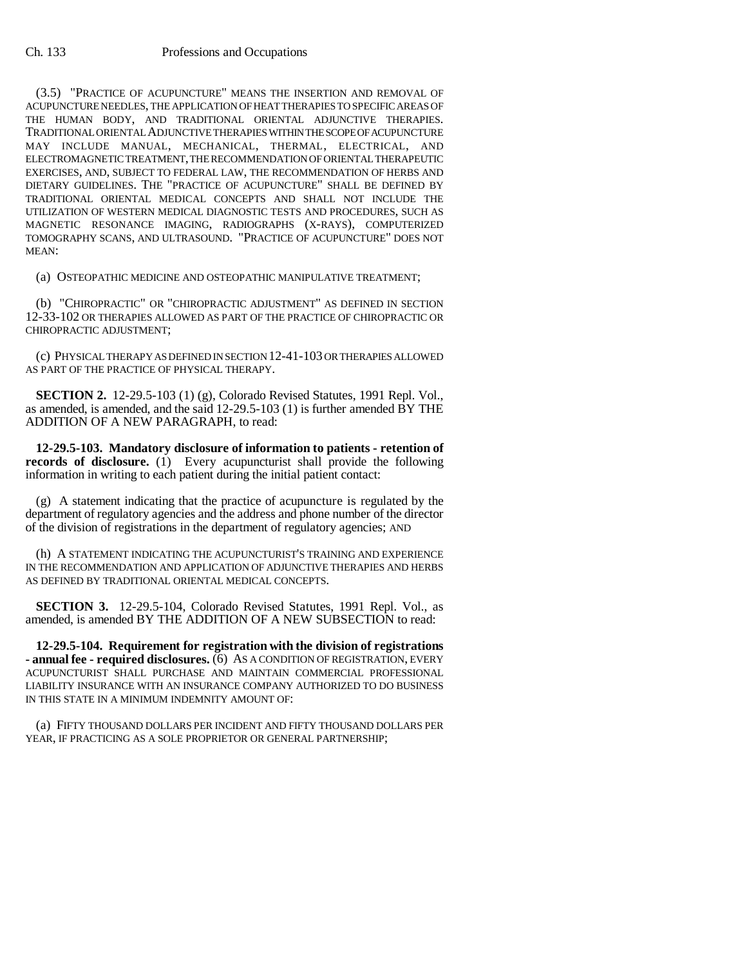(3.5) "PRACTICE OF ACUPUNCTURE" MEANS THE INSERTION AND REMOVAL OF ACUPUNCTURE NEEDLES, THE APPLICATION OF HEAT THERAPIES TO SPECIFIC AREAS OF THE HUMAN BODY, AND TRADITIONAL ORIENTAL ADJUNCTIVE THERAPIES. TRADITIONAL ORIENTAL ADJUNCTIVE THERAPIES WITHIN THE SCOPE OF ACUPUNCTURE MAY INCLUDE MANUAL, MECHANICAL, THERMAL, ELECTRICAL, AND ELECTROMAGNETIC TREATMENT, THE RECOMMENDATION OF ORIENTAL THERAPEUTIC EXERCISES, AND, SUBJECT TO FEDERAL LAW, THE RECOMMENDATION OF HERBS AND DIETARY GUIDELINES. THE "PRACTICE OF ACUPUNCTURE" SHALL BE DEFINED BY TRADITIONAL ORIENTAL MEDICAL CONCEPTS AND SHALL NOT INCLUDE THE UTILIZATION OF WESTERN MEDICAL DIAGNOSTIC TESTS AND PROCEDURES, SUCH AS MAGNETIC RESONANCE IMAGING, RADIOGRAPHS (X-RAYS), COMPUTERIZED TOMOGRAPHY SCANS, AND ULTRASOUND. "PRACTICE OF ACUPUNCTURE" DOES NOT MEAN:

(a) OSTEOPATHIC MEDICINE AND OSTEOPATHIC MANIPULATIVE TREATMENT;

(b) "CHIROPRACTIC" OR "CHIROPRACTIC ADJUSTMENT" AS DEFINED IN SECTION 12-33-102 OR THERAPIES ALLOWED AS PART OF THE PRACTICE OF CHIROPRACTIC OR CHIROPRACTIC ADJUSTMENT;

(c) PHYSICAL THERAPY AS DEFINED IN SECTION 12-41-103 OR THERAPIES ALLOWED AS PART OF THE PRACTICE OF PHYSICAL THERAPY.

**SECTION 2.** 12-29.5-103 (1) (g), Colorado Revised Statutes, 1991 Repl. Vol., as amended, is amended, and the said 12-29.5-103 (1) is further amended BY THE ADDITION OF A NEW PARAGRAPH, to read:

**12-29.5-103. Mandatory disclosure of information to patients - retention of records of disclosure.** (1) Every acupuncturist shall provide the following information in writing to each patient during the initial patient contact:

(g) A statement indicating that the practice of acupuncture is regulated by the department of regulatory agencies and the address and phone number of the director of the division of registrations in the department of regulatory agencies; AND

(h) A STATEMENT INDICATING THE ACUPUNCTURIST'S TRAINING AND EXPERIENCE IN THE RECOMMENDATION AND APPLICATION OF ADJUNCTIVE THERAPIES AND HERBS AS DEFINED BY TRADITIONAL ORIENTAL MEDICAL CONCEPTS.

**SECTION 3.** 12-29.5-104, Colorado Revised Statutes, 1991 Repl. Vol., as amended, is amended BY THE ADDITION OF A NEW SUBSECTION to read:

**12-29.5-104. Requirement for registration with the division of registrations - annual fee - required disclosures.** (6) AS A CONDITION OF REGISTRATION, EVERY ACUPUNCTURIST SHALL PURCHASE AND MAINTAIN COMMERCIAL PROFESSIONAL LIABILITY INSURANCE WITH AN INSURANCE COMPANY AUTHORIZED TO DO BUSINESS IN THIS STATE IN A MINIMUM INDEMNITY AMOUNT OF:

(a) FIFTY THOUSAND DOLLARS PER INCIDENT AND FIFTY THOUSAND DOLLARS PER YEAR, IF PRACTICING AS A SOLE PROPRIETOR OR GENERAL PARTNERSHIP;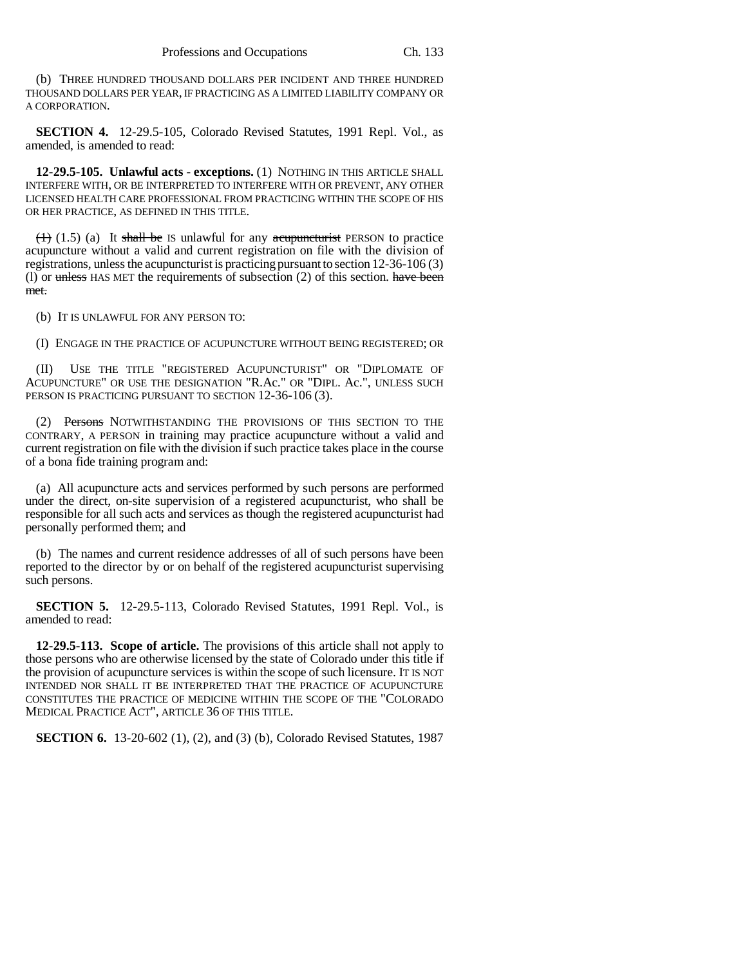(b) THREE HUNDRED THOUSAND DOLLARS PER INCIDENT AND THREE HUNDRED THOUSAND DOLLARS PER YEAR, IF PRACTICING AS A LIMITED LIABILITY COMPANY OR A CORPORATION.

**SECTION 4.** 12-29.5-105, Colorado Revised Statutes, 1991 Repl. Vol., as amended, is amended to read:

**12-29.5-105. Unlawful acts - exceptions.** (1) NOTHING IN THIS ARTICLE SHALL INTERFERE WITH, OR BE INTERPRETED TO INTERFERE WITH OR PREVENT, ANY OTHER LICENSED HEALTH CARE PROFESSIONAL FROM PRACTICING WITHIN THE SCOPE OF HIS OR HER PRACTICE, AS DEFINED IN THIS TITLE.

 $(1)$  (1.5) (a) It shall be IS unlawful for any acupuncturist PERSON to practice acupuncture without a valid and current registration on file with the division of registrations, unless the acupuncturist is practicing pursuant to section 12-36-106 (3) (1) or  $\theta$  unless HAS MET the requirements of subsection (2) of this section. have been met.

(b) IT IS UNLAWFUL FOR ANY PERSON TO:

(I) ENGAGE IN THE PRACTICE OF ACUPUNCTURE WITHOUT BEING REGISTERED; OR

(II) USE THE TITLE "REGISTERED ACUPUNCTURIST" OR "DIPLOMATE OF ACUPUNCTURE" OR USE THE DESIGNATION "R.Ac." OR "DIPL. Ac.", UNLESS SUCH PERSON IS PRACTICING PURSUANT TO SECTION 12-36-106 (3).

(2) Persons NOTWITHSTANDING THE PROVISIONS OF THIS SECTION TO THE CONTRARY, A PERSON in training may practice acupuncture without a valid and current registration on file with the division if such practice takes place in the course of a bona fide training program and:

(a) All acupuncture acts and services performed by such persons are performed under the direct, on-site supervision of a registered acupuncturist, who shall be responsible for all such acts and services as though the registered acupuncturist had personally performed them; and

(b) The names and current residence addresses of all of such persons have been reported to the director by or on behalf of the registered acupuncturist supervising such persons.

**SECTION 5.** 12-29.5-113, Colorado Revised Statutes, 1991 Repl. Vol., is amended to read:

**12-29.5-113. Scope of article.** The provisions of this article shall not apply to those persons who are otherwise licensed by the state of Colorado under this title if the provision of acupuncture services is within the scope of such licensure. IT IS NOT INTENDED NOR SHALL IT BE INTERPRETED THAT THE PRACTICE OF ACUPUNCTURE CONSTITUTES THE PRACTICE OF MEDICINE WITHIN THE SCOPE OF THE "COLORADO MEDICAL PRACTICE ACT", ARTICLE 36 OF THIS TITLE.

**SECTION 6.** 13-20-602 (1), (2), and (3) (b), Colorado Revised Statutes, 1987